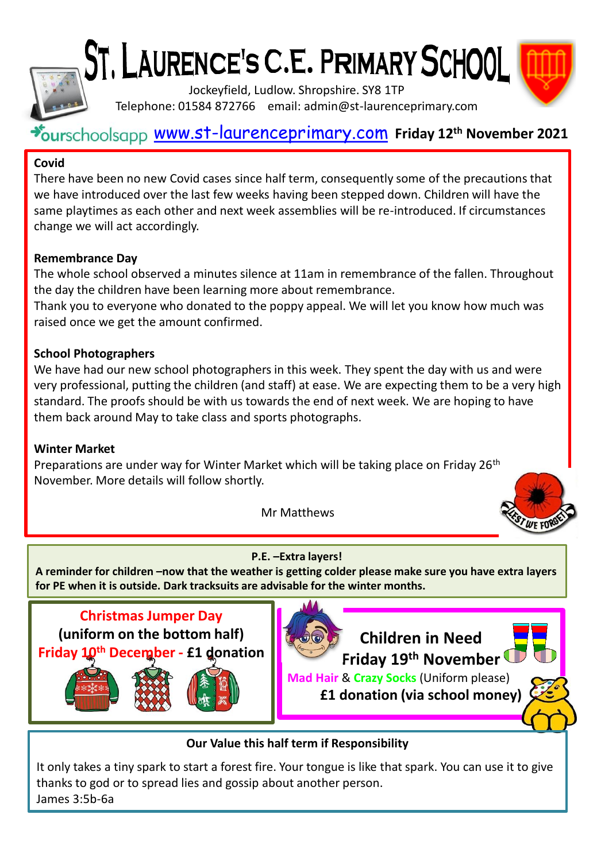# ST, LAURENCE'S C.E. PRIMARY SCHOOL



Jockeyfield, Ludlow. Shropshire. SY8 1TP Telephone: 01584 872766 email: admin@st-laurenceprimary.com

## [www.st-laurenceprimary.com](http://www.st-laurenceprimary.com/) **Friday 12th November 2021**

#### **Covid**

There have been no new Covid cases since half term, consequently some of the precautions that we have introduced over the last few weeks having been stepped down. Children will have the same playtimes as each other and next week assemblies will be re-introduced. If circumstances change we will act accordingly.

#### **Remembrance Day**

The whole school observed a minutes silence at 11am in remembrance of the fallen. Throughout the day the children have been learning more about remembrance.

Thank you to everyone who donated to the poppy appeal. We will let you know how much was raised once we get the amount confirmed.

#### **School Photographers**

We have had our new school photographers in this week. They spent the day with us and were very professional, putting the children (and staff) at ease. We are expecting them to be a very high standard. The proofs should be with us towards the end of next week. We are hoping to have them back around May to take class and sports photographs.

#### **Winter Market**

Preparations are under way for Winter Market which will be taking place on Friday 26<sup>th</sup> November. More details will follow shortly.

Mr Matthews



#### **P.E. –Extra layers!**

**A reminder for children –now that the weather is getting colder please make sure you have extra layers for PE when it is outside. Dark tracksuits are advisable for the winter months.**





**Our Value this half term if Responsibility**

It only takes a tiny spark to start a forest fire. Your tongue is like that spark. You can use it to give thanks to god or to spread lies and gossip about another person. James 3:5b-6a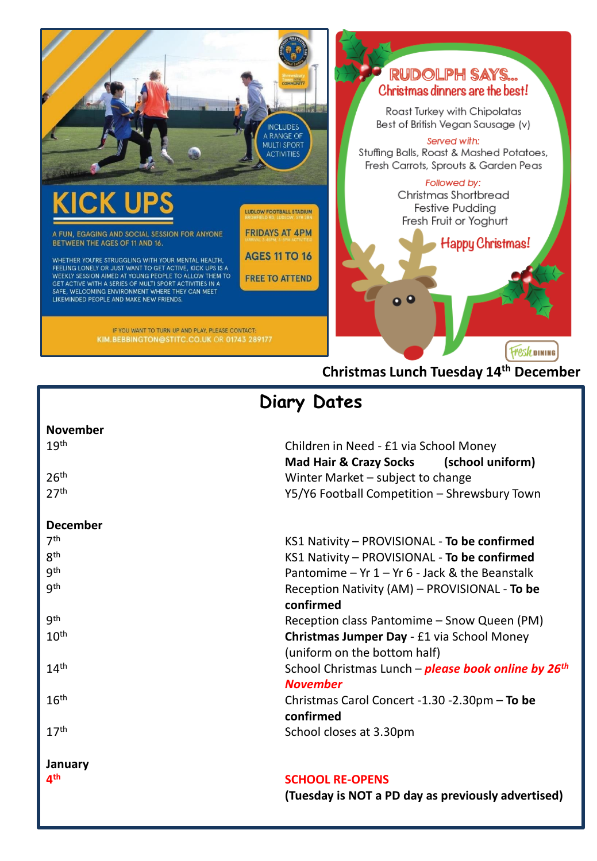

# **Christmas Lunch Tuesday 14th December**

# **Diary Dates**

| <b>November</b>          |                                                            |
|--------------------------|------------------------------------------------------------|
| 19 <sup>th</sup>         | Children in Need - £1 via School Money                     |
|                          | Mad Hair & Crazy Socks (school uniform)                    |
| 26 <sup>th</sup>         | Winter Market - subject to change                          |
| 27 <sup>th</sup>         | Y5/Y6 Football Competition - Shrewsbury Town               |
| <b>December</b>          |                                                            |
| 7 <sup>th</sup>          | KS1 Nativity - PROVISIONAL - To be confirmed               |
| 8 <sup>th</sup>          | KS1 Nativity - PROVISIONAL - To be confirmed               |
| gth                      | Pantomime – Yr $1 - Yr$ 6 - Jack & the Beanstalk           |
| <b>gth</b>               | Reception Nativity (AM) - PROVISIONAL - To be              |
|                          | confirmed                                                  |
| gth                      | Reception class Pantomime - Snow Queen (PM)                |
| 10 <sup>th</sup>         | Christmas Jumper Day - £1 via School Money                 |
|                          | (uniform on the bottom half)                               |
| 14 <sup>th</sup>         | School Christmas Lunch – <b>please book online by 26th</b> |
|                          | <b>November</b>                                            |
| 16 <sup>th</sup>         | Christmas Carol Concert -1.30 -2.30pm - To be              |
|                          | confirmed                                                  |
| 17 <sup>th</sup>         | School closes at 3.30pm                                    |
| January                  |                                                            |
| $\mathbf{A}^{\text{th}}$ | <b>SCHOOL RE-OPENS</b>                                     |

**(Tuesday is NOT a PD day as previously advertised)**